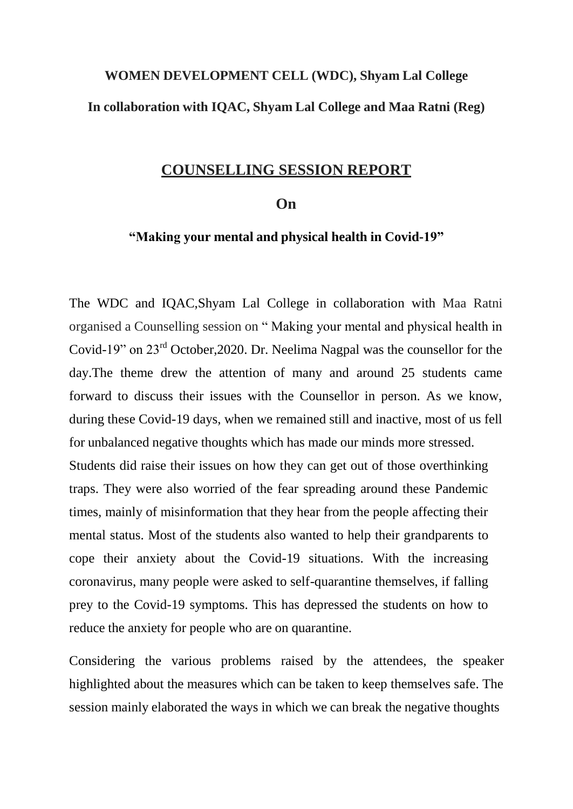#### **WOMEN DEVELOPMENT CELL (WDC), Shyam Lal College In collaboration with IQAC, Shyam Lal College and Maa Ratni (Reg)**

#### **COUNSELLING SESSION REPORT**

#### **On**

#### **"Making your mental and physical health in Covid-19"**

The WDC and IQAC,Shyam Lal College in collaboration with Maa Ratni organised a Counselling session on " Making your mental and physical health in Covid-19" on 23rd October,2020. Dr. Neelima Nagpal was the counsellor for the day.The theme drew the attention of many and around 25 students came forward to discuss their issues with the Counsellor in person. As we know, during these Covid-19 days, when we remained still and inactive, most of us fell for unbalanced negative thoughts which has made our minds more stressed. Students did raise their issues on how they can get out of those overthinking traps. They were also worried of the fear spreading around these Pandemic times, mainly of misinformation that they hear from the people affecting their mental status. Most of the students also wanted to help their grandparents to cope their anxiety about the Covid-19 situations. With the increasing coronavirus, many people were asked to self-quarantine themselves, if falling prey to the Covid-19 symptoms. This has depressed the students on how to reduce the anxiety for people who are on quarantine.

Considering the various problems raised by the attendees, the speaker highlighted about the measures which can be taken to keep themselves safe. The session mainly elaborated the ways in which we can break the negative thoughts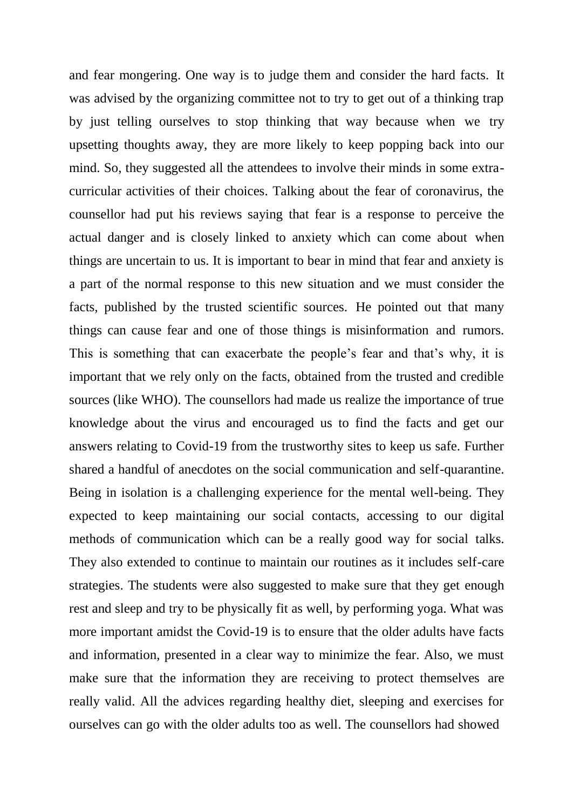and fear mongering. One way is to judge them and consider the hard facts. It was advised by the organizing committee not to try to get out of a thinking trap by just telling ourselves to stop thinking that way because when we try upsetting thoughts away, they are more likely to keep popping back into our mind. So, they suggested all the attendees to involve their minds in some extracurricular activities of their choices. Talking about the fear of coronavirus, the counsellor had put his reviews saying that fear is a response to perceive the actual danger and is closely linked to anxiety which can come about when things are uncertain to us. It is important to bear in mind that fear and anxiety is a part of the normal response to this new situation and we must consider the facts, published by the trusted scientific sources. He pointed out that many things can cause fear and one of those things is misinformation and rumors. This is something that can exacerbate the people's fear and that's why, it is important that we rely only on the facts, obtained from the trusted and credible sources (like WHO). The counsellors had made us realize the importance of true knowledge about the virus and encouraged us to find the facts and get our answers relating to Covid-19 from the trustworthy sites to keep us safe. Further shared a handful of anecdotes on the social communication and self-quarantine. Being in isolation is a challenging experience for the mental well-being. They expected to keep maintaining our social contacts, accessing to our digital methods of communication which can be a really good way for social talks. They also extended to continue to maintain our routines as it includes self-care strategies. The students were also suggested to make sure that they get enough rest and sleep and try to be physically fit as well, by performing yoga. What was more important amidst the Covid-19 is to ensure that the older adults have facts and information, presented in a clear way to minimize the fear. Also, we must make sure that the information they are receiving to protect themselves are really valid. All the advices regarding healthy diet, sleeping and exercises for ourselves can go with the older adults too as well. The counsellors had showed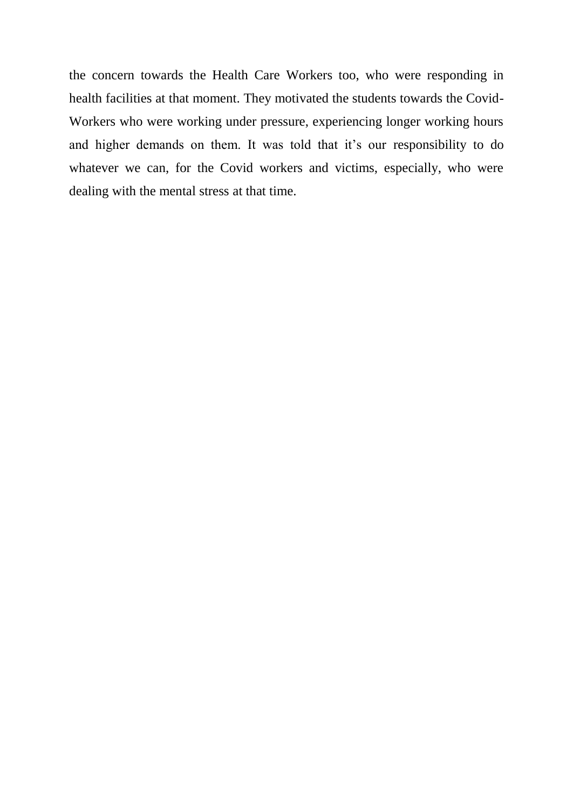the concern towards the Health Care Workers too, who were responding in health facilities at that moment. They motivated the students towards the Covid-Workers who were working under pressure, experiencing longer working hours and higher demands on them. It was told that it's our responsibility to do whatever we can, for the Covid workers and victims, especially, who were dealing with the mental stress at that time.